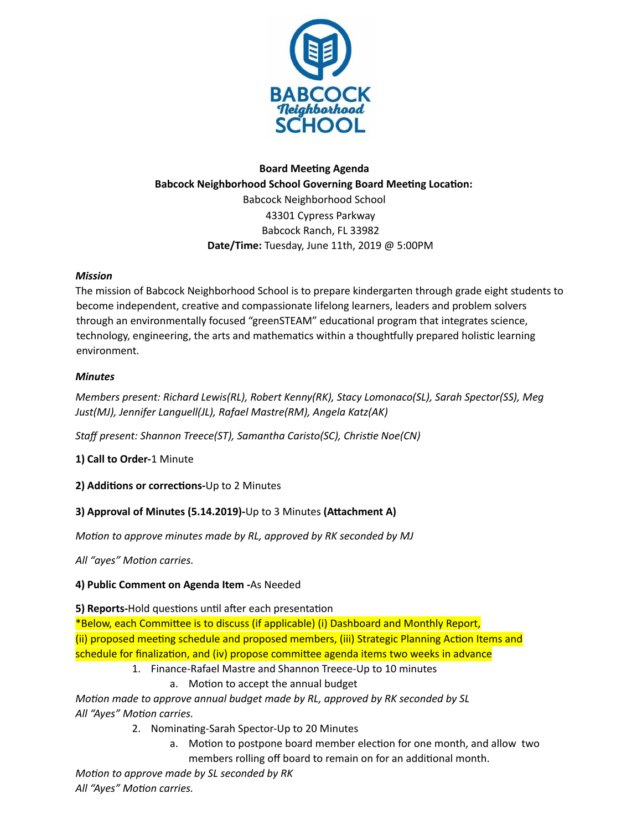

# **Board Meeting Agenda Babcock Neighborhood School Governing Board Meeting Location:** Babcock Neighborhood School 43301 Cypress Parkway Babcock Ranch, FL 33982 **Date/Time:** Tuesday, June 11th, 2019 @ 5:00PM

## *Mission*

The mission of Babcock Neighborhood School is to prepare kindergarten through grade eight students to become independent, creative and compassionate lifelong learners, leaders and problem solvers through an environmentally focused "greenSTEAM" educational program that integrates science, technology, engineering, the arts and mathematics within a thoughtfully prepared holistic learning environment.

## *Minutes*

*Members present: Richard Lewis(RL), Robert Kenny(RK), Stacy Lomonaco(SL), Sarah Spector(SS), Meg Just(MJ), Jennifer Languell(JL), Rafael Mastre(RM), Angela Katz(AK)*

*Staff present: Shannon Treece(ST), Samantha Caristo(SC), Chrise Noe(CN)*

**1) Call to Order-**1 Minute

**2)** Additions or corrections-Up to 2 Minutes

## **3)** Approval of Minutes (5.14.2019)-Up to 3 Minutes (Attachment A)

*Moon to approve minutes made by RL, approved by RK seconded by MJ*

*All* "ayes" Motion carries.

## **4) Public Comment on Agenda Item -**As Needed

**5) Reports-Hold questions until after each presentation** 

\*Below, each Committee is to discuss (if applicable) (i) Dashboard and Monthly Report, (ii) proposed meeting schedule and proposed members, (iii) Strategic Planning Action Items and schedule for finalization, and (iv) propose committee agenda items two weeks in advance

- 1. Finance-Rafael Mastre and Shannon Treece-Up to 10 minutes
	- a. Motion to accept the annual budget

*Moon made to approve annual budget made by RL, approved by RK seconded by SL All* "Ayes" Motion carries.

- 2. Nominating-Sarah Spector-Up to 20 Minutes
	- a. Motion to postpone board member election for one month, and allow two
- members rolling off board to remain on for an additional month.

*Motion to approve made by SL seconded by RK All* "Ayes" Motion carries.